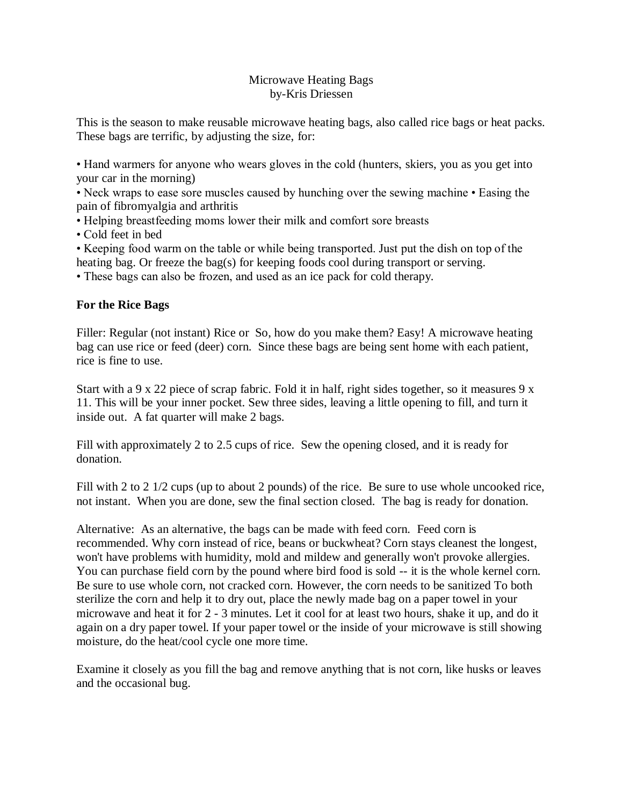## Microwave Heating Bags by-Kris Driessen

This is the season to make reusable microwave heating bags, also called rice bags or heat packs. These bags are terrific, by adjusting the size, for:

• Hand warmers for anyone who wears gloves in the cold (hunters, skiers, you as you get into your car in the morning)

• Neck wraps to ease sore muscles caused by hunching over the sewing machine • Easing the pain of fibromyalgia and arthritis

• Helping breastfeeding moms lower their milk and comfort sore breasts

• Cold feet in bed

• Keeping food warm on the table or while being transported. Just put the dish on top of the heating bag. Or freeze the bag(s) for keeping foods cool during transport or serving.

• These bags can also be frozen, and used as an ice pack for cold therapy.

## **For the Rice Bags**

Filler: Regular (not instant) Rice or So, how do you make them? Easy! A microwave heating bag can use rice or feed (deer) corn. Since these bags are being sent home with each patient, rice is fine to use.

Start with a 9 x 22 piece of scrap fabric. Fold it in half, right sides together, so it measures 9 x 11. This will be your inner pocket. Sew three sides, leaving a little opening to fill, and turn it inside out. A fat quarter will make 2 bags.

Fill with approximately 2 to 2.5 cups of rice. Sew the opening closed, and it is ready for donation.

Fill with 2 to 2 1/2 cups (up to about 2 pounds) of the rice. Be sure to use whole uncooked rice, not instant. When you are done, sew the final section closed. The bag is ready for donation.

Alternative: As an alternative, the bags can be made with feed corn. Feed corn is recommended. Why corn instead of rice, beans or buckwheat? Corn stays cleanest the longest, won't have problems with humidity, mold and mildew and generally won't provoke allergies. You can purchase field corn by the pound where bird food is sold -- it is the whole kernel corn. Be sure to use whole corn, not cracked corn. However, the corn needs to be sanitized To both sterilize the corn and help it to dry out, place the newly made bag on a paper towel in your microwave and heat it for 2 - 3 minutes. Let it cool for at least two hours, shake it up, and do it again on a dry paper towel. If your paper towel or the inside of your microwave is still showing moisture, do the heat/cool cycle one more time.

Examine it closely as you fill the bag and remove anything that is not corn, like husks or leaves and the occasional bug.